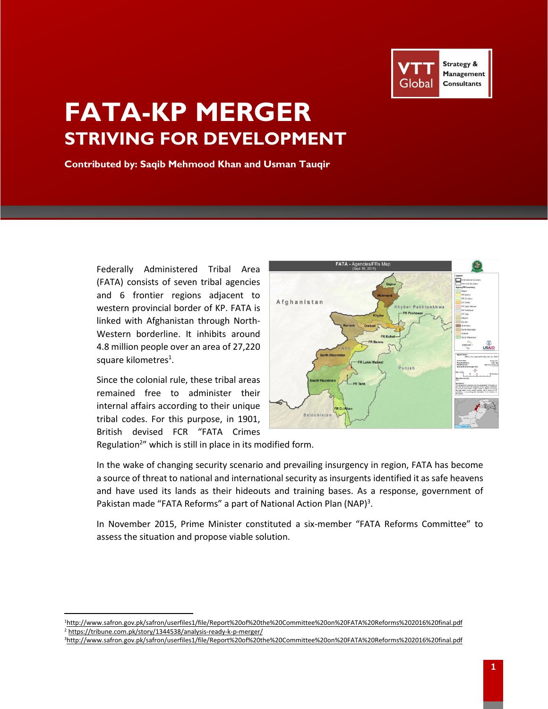

# **FATA-KP MERGER STRIVING FOR DEVELOPMENT**

**Contributed by: Saqib Mehmood Khan and Usman Tauqir**

Federally Administered Tribal Area (FATA) consists of seven tribal agencies and 6 frontier regions adjacent to western provincial border of KP. FATA is linked with Afghanistan through North-Western borderline. It inhibits around 4.8 million people over an area of 27,220 square kilometres<sup>1</sup>.

Since the colonial rule, these tribal areas remained free to administer their internal affairs according to their unique tribal codes. For this purpose, in 1901, British devised FCR "FATA Crimes

 $\overline{\phantom{a}}$ 



Regulation<sup>2</sup>" which is still in place in its modified form.

In the wake of changing security scenario and prevailing insurgency in region, FATA has become a source of threat to national and international security as insurgents identified it as safe heavens and have used its lands as their hideouts and training bases. As a response, government of Pakistan made "FATA Reforms" a part of National Action Plan (NAP)<sup>3</sup>.

In November 2015, Prime Minister constituted a six-member "FATA Reforms Committee" to assess the situation and propose viable solution.

3<http://www.safron.gov.pk/safron/userfiles1/file/Report%20of%20the%20Committee%20on%20FATA%20Reforms%202016%20final.pdf>

<sup>1</sup><http://www.safron.gov.pk/safron/userfiles1/file/Report%20of%20the%20Committee%20on%20FATA%20Reforms%202016%20final.pdf> <sup>2</sup> <https://tribune.com.pk/story/1344538/analysis-ready-k-p-merger/>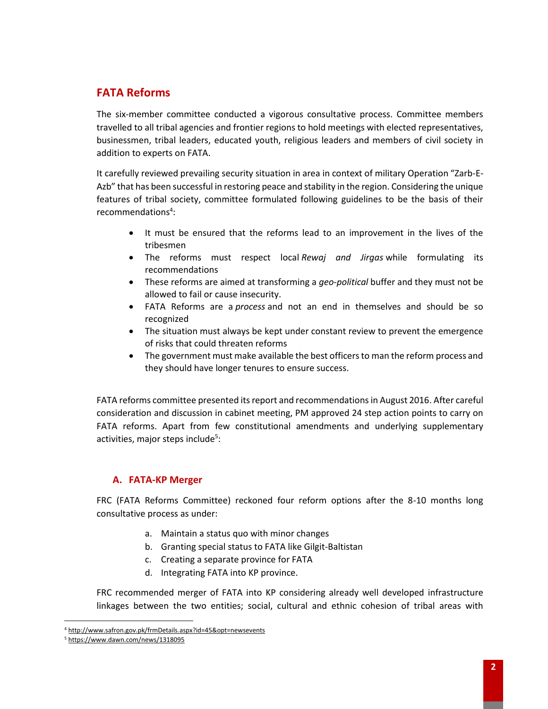# **FATA Reforms**

The six-member committee conducted a vigorous consultative process. Committee members travelled to all tribal agencies and frontier regions to hold meetings with elected representatives, businessmen, tribal leaders, educated youth, religious leaders and members of civil society in addition to experts on FATA.

It carefully reviewed prevailing security situation in area in context of military Operation "Zarb-E-Azb" that has been successful in restoring peace and stability in the region. Considering the unique features of tribal society, committee formulated following guidelines to be the basis of their recommendations<sup>4</sup>:

- It must be ensured that the reforms lead to an improvement in the lives of the tribesmen
- The reforms must respect local *Rewaj and Jirgas* while formulating its recommendations
- These reforms are aimed at transforming a *geo-political* buffer and they must not be allowed to fail or cause insecurity.
- FATA Reforms are a *process* and not an end in themselves and should be so recognized
- The situation must always be kept under constant review to prevent the emergence of risks that could threaten reforms
- The government must make available the best officers to man the reform process and they should have longer tenures to ensure success.

FATA reforms committee presented its report and recommendations in August 2016. After careful consideration and discussion in cabinet meeting, PM approved 24 step action points to carry on FATA reforms. Apart from few constitutional amendments and underlying supplementary activities, major steps include<sup>5</sup>:

## **A. FATA-KP Merger**

FRC (FATA Reforms Committee) reckoned four reform options after the 8-10 months long consultative process as under:

- a. Maintain a status quo with minor changes
- b. Granting special status to FATA like Gilgit-Baltistan
- c. Creating a separate province for FATA
- d. Integrating FATA into KP province.

FRC recommended merger of FATA into KP considering already well developed infrastructure linkages between the two entities; social, cultural and ethnic cohesion of tribal areas with

l

<sup>4</sup> <http://www.safron.gov.pk/frmDetails.aspx?id=45&opt=newsevents>

<sup>5</sup> <https://www.dawn.com/news/1318095>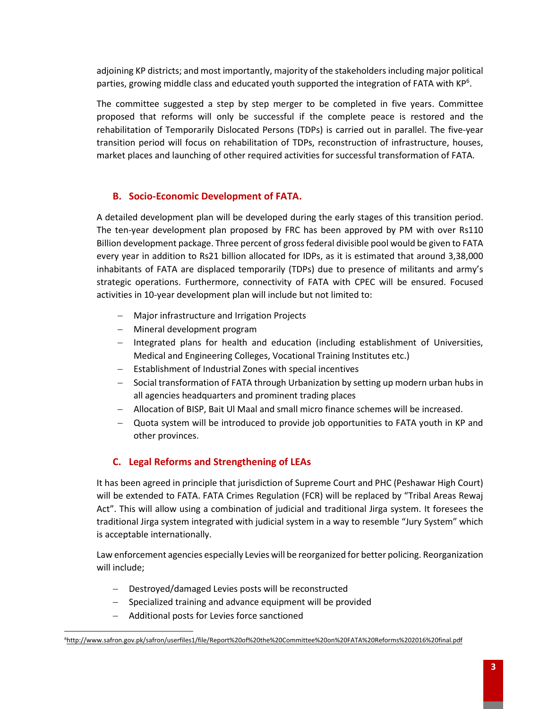adjoining KP districts; and most importantly, majority of the stakeholders including major political parties, growing middle class and educated youth supported the integration of FATA with KP<sup>6</sup>.

The committee suggested a step by step merger to be completed in five years. Committee proposed that reforms will only be successful if the complete peace is restored and the rehabilitation of Temporarily Dislocated Persons (TDPs) is carried out in parallel. The five-year transition period will focus on rehabilitation of TDPs, reconstruction of infrastructure, houses, market places and launching of other required activities for successful transformation of FATA.

### **B. Socio-Economic Development of FATA.**

A detailed development plan will be developed during the early stages of this transition period. The ten-year development plan proposed by FRC has been approved by PM with over Rs110 Billion development package. Three percent of gross federal divisible pool would be given to FATA every year in addition to Rs21 billion allocated for IDPs, as it is estimated that around 3,38,000 inhabitants of FATA are displaced temporarily (TDPs) due to presence of militants and army's strategic operations. Furthermore, connectivity of FATA with CPEC will be ensured. Focused activities in 10-year development plan will include but not limited to:

- Major infrastructure and Irrigation Projects
- Mineral development program
- $-$  Integrated plans for health and education (including establishment of Universities, Medical and Engineering Colleges, Vocational Training Institutes etc.)
- Establishment of Industrial Zones with special incentives
- Social transformation of FATA through Urbanization by setting up modern urban hubs in all agencies headquarters and prominent trading places
- Allocation of BISP, Bait Ul Maal and small micro finance schemes will be increased.
- Quota system will be introduced to provide job opportunities to FATA youth in KP and other provinces.

## **C. Legal Reforms and Strengthening of LEAs**

It has been agreed in principle that jurisdiction of Supreme Court and PHC (Peshawar High Court) will be extended to FATA. FATA Crimes Regulation (FCR) will be replaced by "Tribal Areas Rewaj Act". This will allow using a combination of judicial and traditional Jirga system. It foresees the traditional Jirga system integrated with judicial system in a way to resemble "Jury System" which is acceptable internationally.

Law enforcement agencies especially Levies will be reorganized for better policing. Reorganization will include;

- Destroyed/damaged Levies posts will be reconstructed
- Specialized training and advance equipment will be provided
- Additional posts for Levies force sanctioned

 $\overline{\phantom{a}}$ 6<http://www.safron.gov.pk/safron/userfiles1/file/Report%20of%20the%20Committee%20on%20FATA%20Reforms%202016%20final.pdf>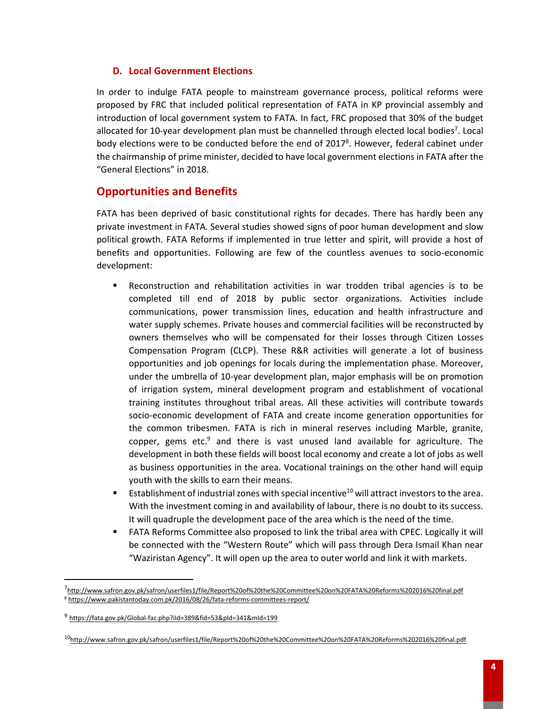#### **D. Local Government Elections**

In order to indulge FATA people to mainstream governance process, political reforms were proposed by FRC that included political representation of FATA in KP provincial assembly and introduction of local government system to FATA. In fact, FRC proposed that 30% of the budget allocated for 10-year development plan must be channelled through elected local bodies<sup>7</sup>. Local body elections were to be conducted before the end of 2017<sup>8</sup>. However, federal cabinet under the chairmanship of prime minister, decided to have local government elections in FATA after the "General Elections" in 2018.

# **Opportunities and Benefits**

FATA has been deprived of basic constitutional rights for decades. There has hardly been any private investment in FATA. Several studies showed signs of poor human development and slow political growth. FATA Reforms if implemented in true letter and spirit, will provide a host of benefits and opportunities. Following are few of the countless avenues to socio-economic development:

- **EXECONSTRUCTED And RETABILITY ACTIVITY ATTES IN ACT ACTIVITY ACTIVITY ACTIVITY** Reconstruction and rehabilitation activities in war trodden tribal agencies is to be completed till end of 2018 by public sector organizations. Activities include communications, power transmission lines, education and health infrastructure and water supply schemes. Private houses and commercial facilities will be reconstructed by owners themselves who will be compensated for their losses through Citizen Losses Compensation Program (CLCP). These R&R activities will generate a lot of business opportunities and job openings for locals during the implementation phase. Moreover, under the umbrella of 10-year development plan, major emphasis will be on promotion of irrigation system, mineral development program and establishment of vocational training institutes throughout tribal areas. All these activities will contribute towards socio-economic development of FATA and create income generation opportunities for the common tribesmen. FATA is rich in mineral reserves including Marble, granite, copper, gems etc. $9$  and there is vast unused land available for agriculture. The development in both these fields will boost local economy and create a lot of jobs as well as business opportunities in the area. Vocational trainings on the other hand will equip youth with the skills to earn their means.
- **Example 1** Establishment of industrial zones with special incentive<sup>10</sup> will attract investors to the area. With the investment coming in and availability of labour, there is no doubt to its success. It will quadruple the development pace of the area which is the need of the time.
- **EXTA Reforms Committee also proposed to link the tribal area with CPEC. Logically it will** be connected with the "Western Route" which will pass through Dera Ismail Khan near "Waziristan Agency". It will open up the area to outer world and link it with markets.

 $\overline{a}$ 

<sup>&</sup>lt;sup>7</sup><http://www.safron.gov.pk/safron/userfiles1/file/Report%20of%20the%20Committee%20on%20FATA%20Reforms%202016%20final.pdf> <sup>8</sup> <https://www.pakistantoday.com.pk/2016/08/26/fata-reforms-committees-report/>

<sup>9</sup> <https://fata.gov.pk/Global-fac.php?iId=389&fid=53&pId=341&mId=199>

<sup>10</sup><http://www.safron.gov.pk/safron/userfiles1/file/Report%20of%20the%20Committee%20on%20FATA%20Reforms%202016%20final.pdf>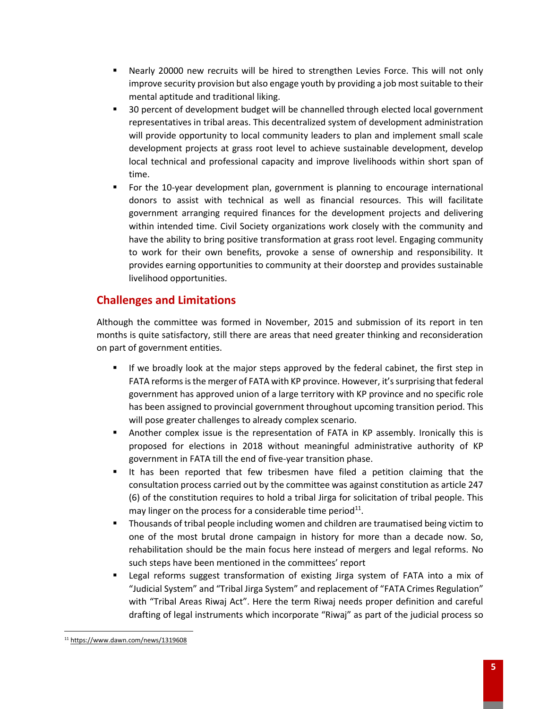- Nearly 20000 new recruits will be hired to strengthen Levies Force. This will not only improve security provision but also engage youth by providing a job most suitable to their mental aptitude and traditional liking.
- 30 percent of development budget will be channelled through elected local government representatives in tribal areas. This decentralized system of development administration will provide opportunity to local community leaders to plan and implement small scale development projects at grass root level to achieve sustainable development, develop local technical and professional capacity and improve livelihoods within short span of time.
- For the 10-year development plan, government is planning to encourage international donors to assist with technical as well as financial resources. This will facilitate government arranging required finances for the development projects and delivering within intended time. Civil Society organizations work closely with the community and have the ability to bring positive transformation at grass root level. Engaging community to work for their own benefits, provoke a sense of ownership and responsibility. It provides earning opportunities to community at their doorstep and provides sustainable livelihood opportunities.

# **Challenges and Limitations**

Although the committee was formed in November, 2015 and submission of its report in ten months is quite satisfactory, still there are areas that need greater thinking and reconsideration on part of government entities.

- If we broadly look at the major steps approved by the federal cabinet, the first step in FATA reforms is the merger of FATA with KP province. However, it's surprising that federal government has approved union of a large territory with KP province and no specific role has been assigned to provincial government throughout upcoming transition period. This will pose greater challenges to already complex scenario.
- **■** Another complex issue is the representation of FATA in KP assembly. Ironically this is proposed for elections in 2018 without meaningful administrative authority of KP government in FATA till the end of five-year transition phase.
- It has been reported that few tribesmen have filed a petition claiming that the consultation process carried out by the committee was against constitution as article 247 (6) of the constitution requires to hold a tribal Jirga for solicitation of tribal people. This may linger on the process for a considerable time period $^{11}$ .
- Thousands of tribal people including women and children are traumatised being victim to one of the most brutal drone campaign in history for more than a decade now. So, rehabilitation should be the main focus here instead of mergers and legal reforms. No such steps have been mentioned in the committees' report
- **■** Legal reforms suggest transformation of existing Jirga system of FATA into a mix of "Judicial System" and "Tribal Jirga System" and replacement of "FATA Crimes Regulation" with "Tribal Areas Riwaj Act". Here the term Riwaj needs proper definition and careful drafting of legal instruments which incorporate "Riwaj" as part of the judicial process so

 $\overline{\phantom{a}}$ 

<sup>11</sup> <https://www.dawn.com/news/1319608>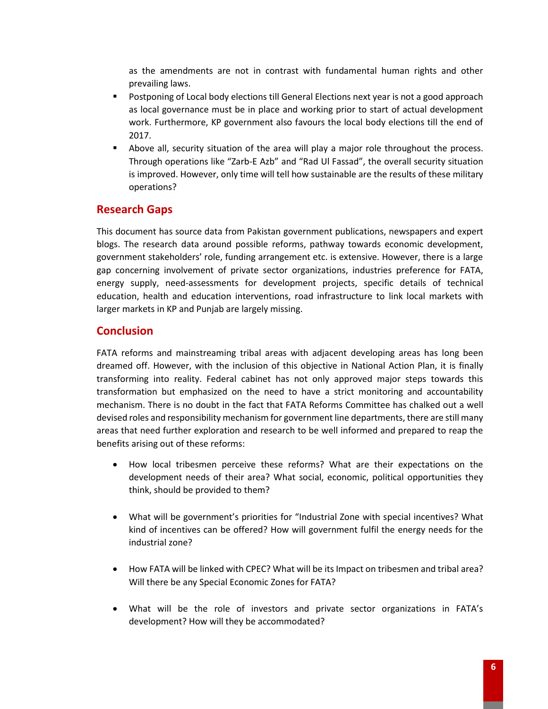as the amendments are not in contrast with fundamental human rights and other prevailing laws.

- **Postponing of Local body elections till General Elections next year is not a good approach** as local governance must be in place and working prior to start of actual development work. Furthermore, KP government also favours the local body elections till the end of 2017.
- Above all, security situation of the area will play a major role throughout the process. Through operations like "Zarb-E Azb" and "Rad Ul Fassad", the overall security situation is improved. However, only time will tell how sustainable are the results of these military operations?

# **Research Gaps**

This document has source data from Pakistan government publications, newspapers and expert blogs. The research data around possible reforms, pathway towards economic development, government stakeholders' role, funding arrangement etc. is extensive. However, there is a large gap concerning involvement of private sector organizations, industries preference for FATA, energy supply, need-assessments for development projects, specific details of technical education, health and education interventions, road infrastructure to link local markets with larger markets in KP and Punjab are largely missing.

## **Conclusion**

FATA reforms and mainstreaming tribal areas with adjacent developing areas has long been dreamed off. However, with the inclusion of this objective in National Action Plan, it is finally transforming into reality. Federal cabinet has not only approved major steps towards this transformation but emphasized on the need to have a strict monitoring and accountability mechanism. There is no doubt in the fact that FATA Reforms Committee has chalked out a well devised roles and responsibility mechanism for government line departments, there are still many areas that need further exploration and research to be well informed and prepared to reap the benefits arising out of these reforms:

- How local tribesmen perceive these reforms? What are their expectations on the development needs of their area? What social, economic, political opportunities they think, should be provided to them?
- What will be government's priorities for "Industrial Zone with special incentives? What kind of incentives can be offered? How will government fulfil the energy needs for the industrial zone?
- How FATA will be linked with CPEC? What will be its Impact on tribesmen and tribal area? Will there be any Special Economic Zones for FATA?
- What will be the role of investors and private sector organizations in FATA's development? How will they be accommodated?